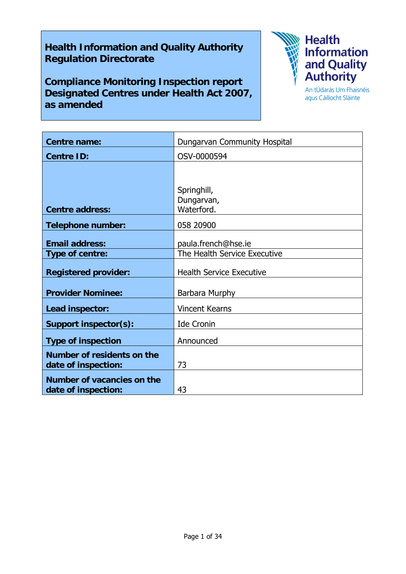# **Health Information and Quality Authority Regulation Directorate**

**Compliance Monitoring Inspection report Designated Centres under Health Act 2007, as amended** 



agus Cáilíocht Sláinte

| Centre name:                                      | Dungarvan Community Hospital                        |
|---------------------------------------------------|-----------------------------------------------------|
| <b>Centre ID:</b>                                 | OSV-0000594                                         |
|                                                   |                                                     |
| <b>Centre address:</b>                            | Springhill,<br>Dungarvan,<br>Waterford.             |
| <b>Telephone number:</b>                          | 058 20900                                           |
| <b>Email address:</b><br>Type of centre:          | paula.french@hse.ie<br>The Health Service Executive |
| <b>Registered provider:</b>                       | <b>Health Service Executive</b>                     |
| <b>Provider Nominee:</b>                          | Barbara Murphy                                      |
| Lead inspector:                                   | <b>Vincent Kearns</b>                               |
| <b>Support inspector(s):</b>                      | <b>Ide Cronin</b>                                   |
| <b>Type of inspection</b>                         | Announced                                           |
| Number of residents on the<br>date of inspection: | 73                                                  |
| Number of vacancies on the<br>date of inspection: | 43                                                  |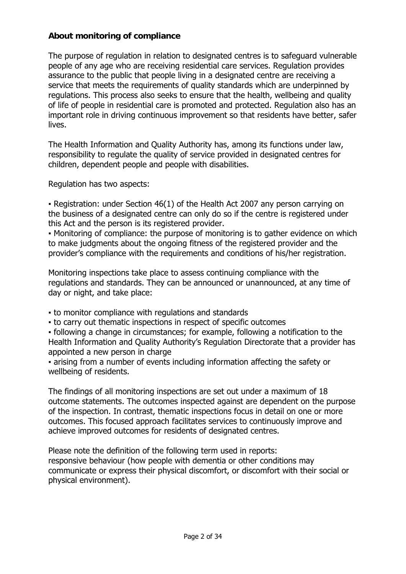# **About monitoring of compliance**

The purpose of regulation in relation to designated centres is to safeguard vulnerable people of any age who are receiving residential care services. Regulation provides assurance to the public that people living in a designated centre are receiving a service that meets the requirements of quality standards which are underpinned by regulations. This process also seeks to ensure that the health, wellbeing and quality of life of people in residential care is promoted and protected. Regulation also has an important role in driving continuous improvement so that residents have better, safer lives.

The Health Information and Quality Authority has, among its functions under law, responsibility to regulate the quality of service provided in designated centres for children, dependent people and people with disabilities.

Regulation has two aspects:

• Registration: under Section 46(1) of the Health Act 2007 any person carrying on the business of a designated centre can only do so if the centre is registered under this Act and the person is its registered provider.

▪ Monitoring of compliance: the purpose of monitoring is to gather evidence on which to make judgments about the ongoing fitness of the registered provider and the provider's compliance with the requirements and conditions of his/her registration.

Monitoring inspections take place to assess continuing compliance with the regulations and standards. They can be announced or unannounced, at any time of day or night, and take place:

- to monitor compliance with regulations and standards
- to carry out thematic inspections in respect of specific outcomes

▪ following a change in circumstances; for example, following a notification to the Health Information and Quality Authority's Regulation Directorate that a provider has appointed a new person in charge

▪ arising from a number of events including information affecting the safety or wellbeing of residents.

The findings of all monitoring inspections are set out under a maximum of 18 outcome statements. The outcomes inspected against are dependent on the purpose of the inspection. In contrast, thematic inspections focus in detail on one or more outcomes. This focused approach facilitates services to continuously improve and achieve improved outcomes for residents of designated centres.

Please note the definition of the following term used in reports: responsive behaviour (how people with dementia or other conditions may communicate or express their physical discomfort, or discomfort with their social or physical environment).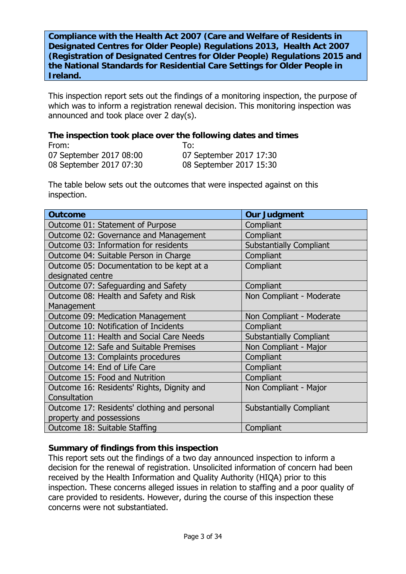**Compliance with the Health Act 2007 (Care and Welfare of Residents in Designated Centres for Older People) Regulations 2013, Health Act 2007 (Registration of Designated Centres for Older People) Regulations 2015 and the National Standards for Residential Care Settings for Older People in Ireland.**

This inspection report sets out the findings of a monitoring inspection, the purpose of which was to inform a registration renewal decision. This monitoring inspection was announced and took place over 2 day(s).

#### **The inspection took place over the following dates and times**

| From:                   | T∩:                     |
|-------------------------|-------------------------|
| 07 September 2017 08:00 | 07 September 2017 17:30 |
| 08 September 2017 07:30 | 08 September 2017 15:30 |

The table below sets out the outcomes that were inspected against on this inspection.

| <b>Outcome</b>                               | <b>Our Judgment</b>            |
|----------------------------------------------|--------------------------------|
| Outcome 01: Statement of Purpose             | Compliant                      |
| Outcome 02: Governance and Management        | Compliant                      |
| Outcome 03: Information for residents        | <b>Substantially Compliant</b> |
| Outcome 04: Suitable Person in Charge        | Compliant                      |
| Outcome 05: Documentation to be kept at a    | Compliant                      |
| designated centre                            |                                |
| Outcome 07: Safeguarding and Safety          | Compliant                      |
| Outcome 08: Health and Safety and Risk       | Non Compliant - Moderate       |
| Management                                   |                                |
| Outcome 09: Medication Management            | Non Compliant - Moderate       |
| Outcome 10: Notification of Incidents        | Compliant                      |
| Outcome 11: Health and Social Care Needs     | <b>Substantially Compliant</b> |
| Outcome 12: Safe and Suitable Premises       | Non Compliant - Major          |
| Outcome 13: Complaints procedures            | Compliant                      |
| Outcome 14: End of Life Care                 | Compliant                      |
| Outcome 15: Food and Nutrition               | Compliant                      |
| Outcome 16: Residents' Rights, Dignity and   | Non Compliant - Major          |
| Consultation                                 |                                |
| Outcome 17: Residents' clothing and personal | <b>Substantially Compliant</b> |
| property and possessions                     |                                |
| Outcome 18: Suitable Staffing                | Compliant                      |

# **Summary of findings from this inspection**

This report sets out the findings of a two day announced inspection to inform a decision for the renewal of registration. Unsolicited information of concern had been received by the Health Information and Quality Authority (HIQA) prior to this inspection. These concerns alleged issues in relation to staffing and a poor quality of care provided to residents. However, during the course of this inspection these concerns were not substantiated.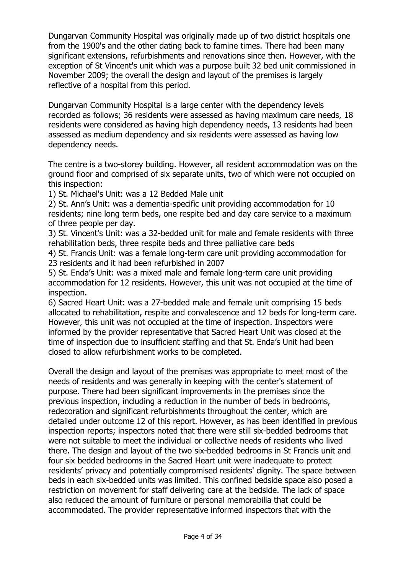Dungarvan Community Hospital was originally made up of two district hospitals one from the 1900's and the other dating back to famine times. There had been many significant extensions, refurbishments and renovations since then. However, with the exception of St Vincent's unit which was a purpose built 32 bed unit commissioned in November 2009; the overall the design and layout of the premises is largely reflective of a hospital from this period.

Dungarvan Community Hospital is a large center with the dependency levels recorded as follows; 36 residents were assessed as having maximum care needs, 18 residents were considered as having high dependency needs, 13 residents had been assessed as medium dependency and six residents were assessed as having low dependency needs.

The centre is a two-storey building. However, all resident accommodation was on the ground floor and comprised of six separate units, two of which were not occupied on this inspection:

1) St. Michael's Unit: was a 12 Bedded Male unit

2) St. Ann's Unit: was a dementia-specific unit providing accommodation for 10 residents; nine long term beds, one respite bed and day care service to a maximum of three people per day.

3) St. Vincent's Unit: was a 32-bedded unit for male and female residents with three rehabilitation beds, three respite beds and three palliative care beds

4) St. Francis Unit: was a female long-term care unit providing accommodation for 23 residents and it had been refurbished in 2007

5) St. Enda's Unit: was a mixed male and female long-term care unit providing accommodation for 12 residents. However, this unit was not occupied at the time of inspection.

6) Sacred Heart Unit: was a 27-bedded male and female unit comprising 15 beds allocated to rehabilitation, respite and convalescence and 12 beds for long-term care. However, this unit was not occupied at the time of inspection. Inspectors were informed by the provider representative that Sacred Heart Unit was closed at the time of inspection due to insufficient staffing and that St. Enda's Unit had been closed to allow refurbishment works to be completed.

Overall the design and layout of the premises was appropriate to meet most of the needs of residents and was generally in keeping with the center's statement of purpose. There had been significant improvements in the premises since the previous inspection, including a reduction in the number of beds in bedrooms, redecoration and significant refurbishments throughout the center, which are detailed under outcome 12 of this report. However, as has been identified in previous inspection reports; inspectors noted that there were still six-bedded bedrooms that were not suitable to meet the individual or collective needs of residents who lived there. The design and layout of the two six-bedded bedrooms in St Francis unit and four six bedded bedrooms in the Sacred Heart unit were inadequate to protect residents' privacy and potentially compromised residents' dignity. The space between beds in each six-bedded units was limited. This confined bedside space also posed a restriction on movement for staff delivering care at the bedside. The lack of space also reduced the amount of furniture or personal memorabilia that could be accommodated. The provider representative informed inspectors that with the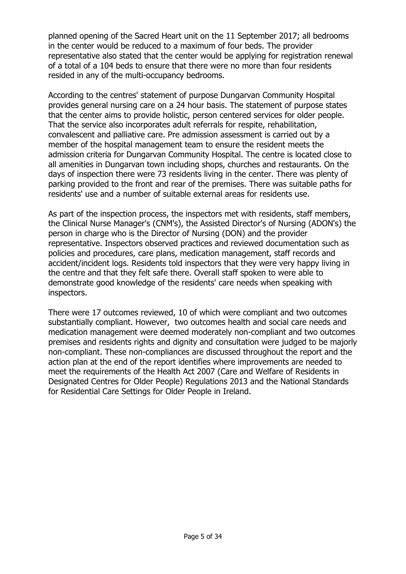planned opening of the Sacred Heart unit on the 11 September 2017; all bedrooms in the center would be reduced to a maximum of four beds. The provider representative also stated that the center would be applying for registration renewal of a total of a 104 beds to ensure that there were no more than four residents resided in any of the multi-occupancy bedrooms.

According to the centres' statement of purpose Dungarvan Community Hospital provides general nursing care on a 24 hour basis. The statement of purpose states that the center aims to provide holistic, person centered services for older people. That the service also incorporates adult referrals for respite, rehabilitation, convalescent and palliative care. Pre admission assessment is carried out by a member of the hospital management team to ensure the resident meets the admission criteria for Dungarvan Community Hospital. The centre is located close to all amenities in Dungarvan town including shops, churches and restaurants. On the days of inspection there were 73 residents living in the center. There was plenty of parking provided to the front and rear of the premises. There was suitable paths for residents' use and a number of suitable external areas for residents use.

As part of the inspection process, the inspectors met with residents, staff members, the Clinical Nurse Manager's (CNM's), the Assisted Director's of Nursing (ADON's) the person in charge who is the Director of Nursing (DON) and the provider representative. Inspectors observed practices and reviewed documentation such as policies and procedures, care plans, medication management, staff records and accident/incident logs. Residents told inspectors that they were very happy living in the centre and that they felt safe there. Overall staff spoken to were able to demonstrate good knowledge of the residents' care needs when speaking with inspectors.

There were 17 outcomes reviewed, 10 of which were compliant and two outcomes substantially compliant. However, two outcomes health and social care needs and medication management were deemed moderately non-compliant and two outcomes premises and residents rights and dignity and consultation were judged to be majorly non-compliant. These non-compliances are discussed throughout the report and the action plan at the end of the report identifies where improvements are needed to meet the requirements of the Health Act 2007 (Care and Welfare of Residents in Designated Centres for Older People) Regulations 2013 and the National Standards for Residential Care Settings for Older People in Ireland.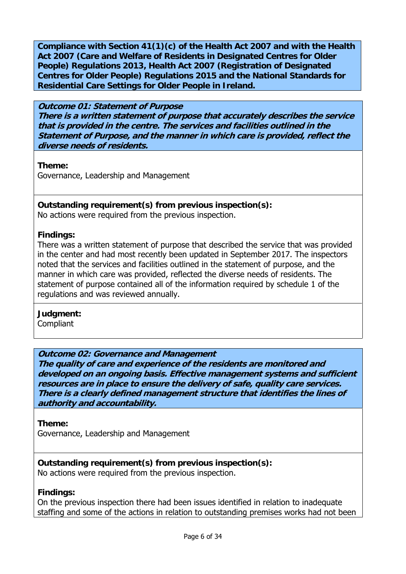**Compliance with Section 41(1)(c) of the Health Act 2007 and with the Health Act 2007 (Care and Welfare of Residents in Designated Centres for Older People) Regulations 2013, Health Act 2007 (Registration of Designated Centres for Older People) Regulations 2015 and the National Standards for Residential Care Settings for Older People in Ireland.** 

#### **Outcome 01: Statement of Purpose There is a written statement of purpose that accurately describes the service that is provided in the centre. The services and facilities outlined in the Statement of Purpose, and the manner in which care is provided, reflect the diverse needs of residents.**

**Theme:** 

Governance, Leadership and Management

# **Outstanding requirement(s) from previous inspection(s):**

No actions were required from the previous inspection.

# **Findings:**

There was a written statement of purpose that described the service that was provided in the center and had most recently been updated in September 2017. The inspectors noted that the services and facilities outlined in the statement of purpose, and the manner in which care was provided, reflected the diverse needs of residents. The statement of purpose contained all of the information required by schedule 1 of the regulations and was reviewed annually.

# **Judgment:**

**Compliant** 

# **Outcome 02: Governance and Management**

**The quality of care and experience of the residents are monitored and developed on an ongoing basis. Effective management systems and sufficient resources are in place to ensure the delivery of safe, quality care services. There is a clearly defined management structure that identifies the lines of authority and accountability.**

# **Theme:**

Governance, Leadership and Management

# **Outstanding requirement(s) from previous inspection(s):**

No actions were required from the previous inspection.

# **Findings:**

On the previous inspection there had been issues identified in relation to inadequate staffing and some of the actions in relation to outstanding premises works had not been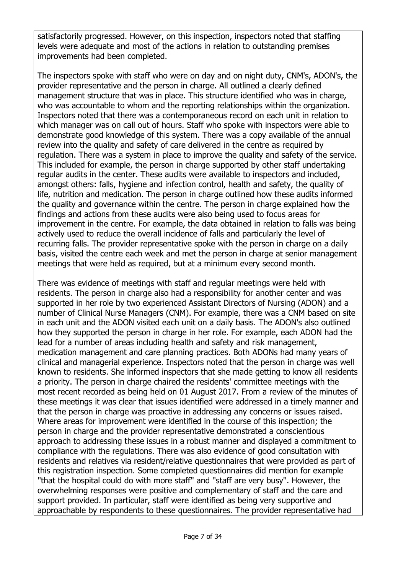satisfactorily progressed. However, on this inspection, inspectors noted that staffing levels were adequate and most of the actions in relation to outstanding premises improvements had been completed.

The inspectors spoke with staff who were on day and on night duty, CNM's, ADON's, the provider representative and the person in charge. All outlined a clearly defined management structure that was in place. This structure identified who was in charge, who was accountable to whom and the reporting relationships within the organization. Inspectors noted that there was a contemporaneous record on each unit in relation to which manager was on call out of hours. Staff who spoke with inspectors were able to demonstrate good knowledge of this system. There was a copy available of the annual review into the quality and safety of care delivered in the centre as required by regulation. There was a system in place to improve the quality and safety of the service. This included for example, the person in charge supported by other staff undertaking regular audits in the center. These audits were available to inspectors and included, amongst others: falls, hygiene and infection control, health and safety, the quality of life, nutrition and medication. The person in charge outlined how these audits informed the quality and governance within the centre. The person in charge explained how the findings and actions from these audits were also being used to focus areas for improvement in the centre. For example, the data obtained in relation to falls was being actively used to reduce the overall incidence of falls and particularly the level of recurring falls. The provider representative spoke with the person in charge on a daily basis, visited the centre each week and met the person in charge at senior management meetings that were held as required, but at a minimum every second month.

There was evidence of meetings with staff and regular meetings were held with residents. The person in charge also had a responsibility for another center and was supported in her role by two experienced Assistant Directors of Nursing (ADON) and a number of Clinical Nurse Managers (CNM). For example, there was a CNM based on site in each unit and the ADON visited each unit on a daily basis. The ADON's also outlined how they supported the person in charge in her role. For example, each ADON had the lead for a number of areas including health and safety and risk management, medication management and care planning practices. Both ADONs had many years of clinical and managerial experience. Inspectors noted that the person in charge was well known to residents. She informed inspectors that she made getting to know all residents a priority. The person in charge chaired the residents' committee meetings with the most recent recorded as being held on 01 August 2017. From a review of the minutes of these meetings it was clear that issues identified were addressed in a timely manner and that the person in charge was proactive in addressing any concerns or issues raised. Where areas for improvement were identified in the course of this inspection; the person in charge and the provider representative demonstrated a conscientious approach to addressing these issues in a robust manner and displayed a commitment to compliance with the regulations. There was also evidence of good consultation with residents and relatives via resident/relative questionnaires that were provided as part of this registration inspection. Some completed questionnaires did mention for example ''that the hospital could do with more staff'' and ''staff are very busy''. However, the overwhelming responses were positive and complementary of staff and the care and support provided. In particular, staff were identified as being very supportive and approachable by respondents to these questionnaires. The provider representative had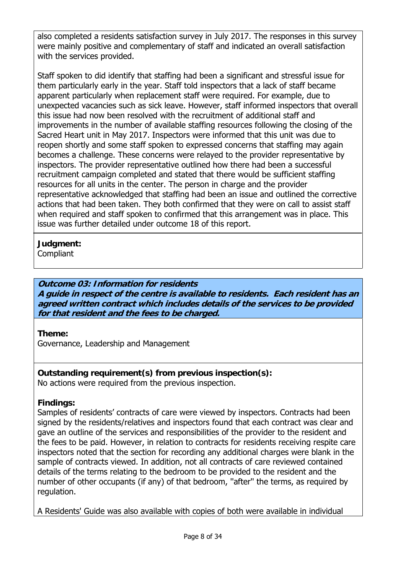also completed a residents satisfaction survey in July 2017. The responses in this survey were mainly positive and complementary of staff and indicated an overall satisfaction with the services provided.

Staff spoken to did identify that staffing had been a significant and stressful issue for them particularly early in the year. Staff told inspectors that a lack of staff became apparent particularly when replacement staff were required. For example, due to unexpected vacancies such as sick leave. However, staff informed inspectors that overall this issue had now been resolved with the recruitment of additional staff and improvements in the number of available staffing resources following the closing of the Sacred Heart unit in May 2017. Inspectors were informed that this unit was due to reopen shortly and some staff spoken to expressed concerns that staffing may again becomes a challenge. These concerns were relayed to the provider representative by inspectors. The provider representative outlined how there had been a successful recruitment campaign completed and stated that there would be sufficient staffing resources for all units in the center. The person in charge and the provider representative acknowledged that staffing had been an issue and outlined the corrective actions that had been taken. They both confirmed that they were on call to assist staff when required and staff spoken to confirmed that this arrangement was in place. This issue was further detailed under outcome 18 of this report.

# **Judgment:**

**Compliant** 

# **Outcome 03: Information for residents**

**A guide in respect of the centre is available to residents. Each resident has an agreed written contract which includes details of the services to be provided for that resident and the fees to be charged.**

# **Theme:**

Governance, Leadership and Management

#### **Outstanding requirement(s) from previous inspection(s):**  No actions were required from the previous inspection.

# **Findings:**

Samples of residents' contracts of care were viewed by inspectors. Contracts had been signed by the residents/relatives and inspectors found that each contract was clear and gave an outline of the services and responsibilities of the provider to the resident and the fees to be paid. However, in relation to contracts for residents receiving respite care inspectors noted that the section for recording any additional charges were blank in the sample of contracts viewed. In addition, not all contracts of care reviewed contained details of the terms relating to the bedroom to be provided to the resident and the number of other occupants (if any) of that bedroom, ''after'' the terms, as required by regulation.

A Residents' Guide was also available with copies of both were available in individual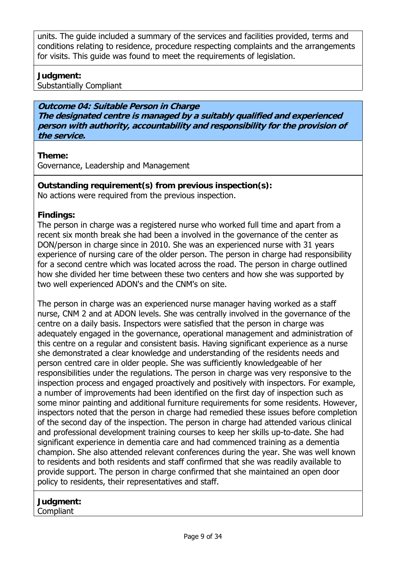units. The guide included a summary of the services and facilities provided, terms and conditions relating to residence, procedure respecting complaints and the arrangements for visits. This quide was found to meet the requirements of legislation.

# **Judgment:**

Substantially Compliant

**Outcome 04: Suitable Person in Charge The designated centre is managed by a suitably qualified and experienced person with authority, accountability and responsibility for the provision of the service.**

# **Theme:**

Governance, Leadership and Management

**Outstanding requirement(s) from previous inspection(s):**  No actions were required from the previous inspection.

# **Findings:**

The person in charge was a registered nurse who worked full time and apart from a recent six month break she had been a involved in the governance of the center as DON/person in charge since in 2010. She was an experienced nurse with 31 years experience of nursing care of the older person. The person in charge had responsibility for a second centre which was located across the road. The person in charge outlined how she divided her time between these two centers and how she was supported by two well experienced ADON's and the CNM's on site.

The person in charge was an experienced nurse manager having worked as a staff nurse, CNM 2 and at ADON levels. She was centrally involved in the governance of the centre on a daily basis. Inspectors were satisfied that the person in charge was adequately engaged in the governance, operational management and administration of this centre on a regular and consistent basis. Having significant experience as a nurse she demonstrated a clear knowledge and understanding of the residents needs and person centred care in older people. She was sufficiently knowledgeable of her responsibilities under the regulations. The person in charge was very responsive to the inspection process and engaged proactively and positively with inspectors. For example, a number of improvements had been identified on the first day of inspection such as some minor painting and additional furniture requirements for some residents. However, inspectors noted that the person in charge had remedied these issues before completion of the second day of the inspection. The person in charge had attended various clinical and professional development training courses to keep her skills up-to-date. She had significant experience in dementia care and had commenced training as a dementia champion. She also attended relevant conferences during the year. She was well known to residents and both residents and staff confirmed that she was readily available to provide support. The person in charge confirmed that she maintained an open door policy to residents, their representatives and staff.

#### **Judgment: Compliant**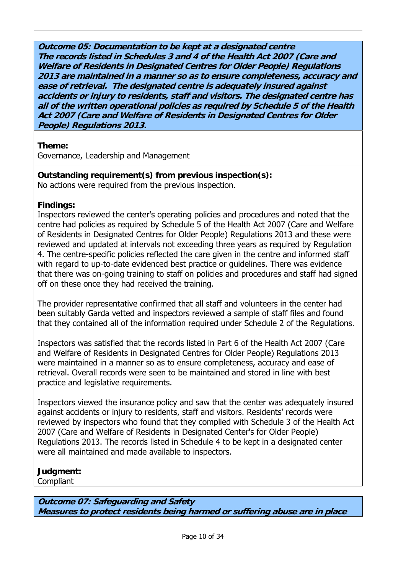**Outcome 05: Documentation to be kept at a designated centre The records listed in Schedules 3 and 4 of the Health Act 2007 (Care and Welfare of Residents in Designated Centres for Older People) Regulations 2013 are maintained in a manner so as to ensure completeness, accuracy and ease of retrieval. The designated centre is adequately insured against accidents or injury to residents, staff and visitors. The designated centre has all of the written operational policies as required by Schedule 5 of the Health Act 2007 (Care and Welfare of Residents in Designated Centres for Older People) Regulations 2013.**

# **Theme:**

Governance, Leadership and Management

# **Outstanding requirement(s) from previous inspection(s):**

No actions were required from the previous inspection.

# **Findings:**

Inspectors reviewed the center's operating policies and procedures and noted that the centre had policies as required by Schedule 5 of the Health Act 2007 (Care and Welfare of Residents in Designated Centres for Older People) Regulations 2013 and these were reviewed and updated at intervals not exceeding three years as required by Regulation 4. The centre-specific policies reflected the care given in the centre and informed staff with regard to up-to-date evidenced best practice or guidelines. There was evidence that there was on-going training to staff on policies and procedures and staff had signed off on these once they had received the training.

The provider representative confirmed that all staff and volunteers in the center had been suitably Garda vetted and inspectors reviewed a sample of staff files and found that they contained all of the information required under Schedule 2 of the Regulations.

Inspectors was satisfied that the records listed in Part 6 of the Health Act 2007 (Care and Welfare of Residents in Designated Centres for Older People) Regulations 2013 were maintained in a manner so as to ensure completeness, accuracy and ease of retrieval. Overall records were seen to be maintained and stored in line with best practice and legislative requirements.

Inspectors viewed the insurance policy and saw that the center was adequately insured against accidents or injury to residents, staff and visitors. Residents' records were reviewed by inspectors who found that they complied with Schedule 3 of the Health Act 2007 (Care and Welfare of Residents in Designated Center's for Older People) Regulations 2013. The records listed in Schedule 4 to be kept in a designated center were all maintained and made available to inspectors.

# **Judgment:**

Compliant

**Outcome 07: Safeguarding and Safety Measures to protect residents being harmed or suffering abuse are in place**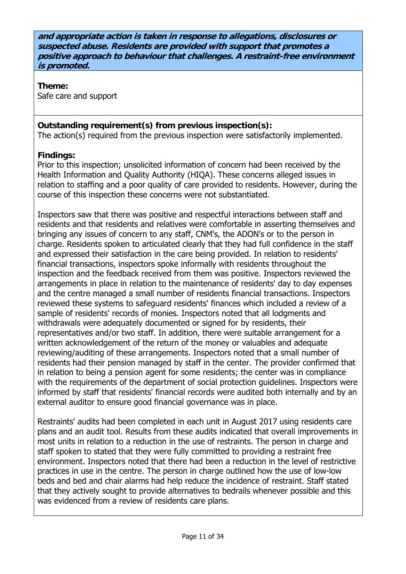**and appropriate action is taken in response to allegations, disclosures or suspected abuse. Residents are provided with support that promotes a positive approach to behaviour that challenges. A restraint-free environment is promoted.**

**Theme:**  Safe care and support

# **Outstanding requirement(s) from previous inspection(s):**

The action(s) required from the previous inspection were satisfactorily implemented.

# **Findings:**

Prior to this inspection; unsolicited information of concern had been received by the Health Information and Quality Authority (HIQA). These concerns alleged issues in relation to staffing and a poor quality of care provided to residents. However, during the course of this inspection these concerns were not substantiated.

Inspectors saw that there was positive and respectful interactions between staff and residents and that residents and relatives were comfortable in asserting themselves and bringing any issues of concern to any staff, CNM's, the ADON's or to the person in charge. Residents spoken to articulated clearly that they had full confidence in the staff and expressed their satisfaction in the care being provided. In relation to residents' financial transactions, inspectors spoke informally with residents throughout the inspection and the feedback received from them was positive. Inspectors reviewed the arrangements in place in relation to the maintenance of residents' day to day expenses and the centre managed a small number of residents financial transactions. Inspectors reviewed these systems to safeguard residents' finances which included a review of a sample of residents' records of monies. Inspectors noted that all lodgments and withdrawals were adequately documented or signed for by residents, their representatives and/or two staff. In addition, there were suitable arrangement for a written acknowledgement of the return of the money or valuables and adequate reviewing/auditing of these arrangements. Inspectors noted that a small number of residents had their pension managed by staff in the center. The provider confirmed that in relation to being a pension agent for some residents; the center was in compliance with the requirements of the department of social protection guidelines. Inspectors were informed by staff that residents' financial records were audited both internally and by an external auditor to ensure good financial governance was in place.

Restraints' audits had been completed in each unit in August 2017 using residents care plans and an audit tool. Results from these audits indicated that overall improvements in most units in relation to a reduction in the use of restraints. The person in charge and staff spoken to stated that they were fully committed to providing a restraint free environment. Inspectors noted that there had been a reduction in the level of restrictive practices in use in the centre. The person in charge outlined how the use of low-low beds and bed and chair alarms had help reduce the incidence of restraint. Staff stated that they actively sought to provide alternatives to bedrails whenever possible and this was evidenced from a review of residents care plans.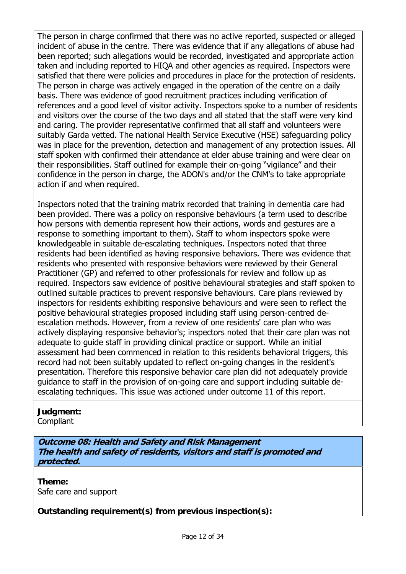The person in charge confirmed that there was no active reported, suspected or alleged incident of abuse in the centre. There was evidence that if any allegations of abuse had been reported; such allegations would be recorded, investigated and appropriate action taken and including reported to HIQA and other agencies as required. Inspectors were satisfied that there were policies and procedures in place for the protection of residents. The person in charge was actively engaged in the operation of the centre on a daily basis. There was evidence of good recruitment practices including verification of references and a good level of visitor activity. Inspectors spoke to a number of residents and visitors over the course of the two days and all stated that the staff were very kind and caring. The provider representative confirmed that all staff and volunteers were suitably Garda vetted. The national Health Service Executive (HSE) safeguarding policy was in place for the prevention, detection and management of any protection issues. All staff spoken with confirmed their attendance at elder abuse training and were clear on their responsibilities. Staff outlined for example their on-going "vigilance" and their confidence in the person in charge, the ADON's and/or the CNM's to take appropriate action if and when required.

Inspectors noted that the training matrix recorded that training in dementia care had been provided. There was a policy on responsive behaviours (a term used to describe how persons with dementia represent how their actions, words and gestures are a response to something important to them). Staff to whom inspectors spoke were knowledgeable in suitable de-escalating techniques. Inspectors noted that three residents had been identified as having responsive behaviors. There was evidence that residents who presented with responsive behaviors were reviewed by their General Practitioner (GP) and referred to other professionals for review and follow up as required. Inspectors saw evidence of positive behavioural strategies and staff spoken to outlined suitable practices to prevent responsive behaviours. Care plans reviewed by inspectors for residents exhibiting responsive behaviours and were seen to reflect the positive behavioural strategies proposed including staff using person-centred deescalation methods. However, from a review of one residents' care plan who was actively displaying responsive behavior's; inspectors noted that their care plan was not adequate to guide staff in providing clinical practice or support. While an initial assessment had been commenced in relation to this residents behavioral triggers, this record had not been suitably updated to reflect on-going changes in the resident's presentation. Therefore this responsive behavior care plan did not adequately provide guidance to staff in the provision of on-going care and support including suitable deescalating techniques. This issue was actioned under outcome 11 of this report.

# **Judgment:**

**Compliant** 

**Outcome 08: Health and Safety and Risk Management The health and safety of residents, visitors and staff is promoted and protected.**

**Theme:**  Safe care and support

**Outstanding requirement(s) from previous inspection(s):**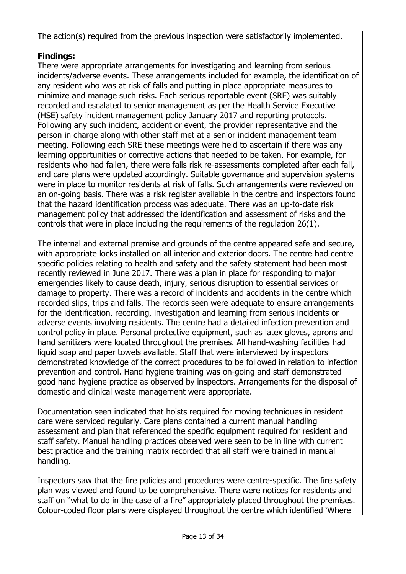The action(s) required from the previous inspection were satisfactorily implemented.

# **Findings:**

There were appropriate arrangements for investigating and learning from serious incidents/adverse events. These arrangements included for example, the identification of any resident who was at risk of falls and putting in place appropriate measures to minimize and manage such risks. Each serious reportable event (SRE) was suitably recorded and escalated to senior management as per the Health Service Executive (HSE) safety incident management policy January 2017 and reporting protocols. Following any such incident, accident or event, the provider representative and the person in charge along with other staff met at a senior incident management team meeting. Following each SRE these meetings were held to ascertain if there was any learning opportunities or corrective actions that needed to be taken. For example, for residents who had fallen, there were falls risk re-assessments completed after each fall, and care plans were updated accordingly. Suitable governance and supervision systems were in place to monitor residents at risk of falls. Such arrangements were reviewed on an on-going basis. There was a risk register available in the centre and inspectors found that the hazard identification process was adequate. There was an up-to-date risk management policy that addressed the identification and assessment of risks and the controls that were in place including the requirements of the regulation 26(1).

The internal and external premise and grounds of the centre appeared safe and secure, with appropriate locks installed on all interior and exterior doors. The centre had centre specific policies relating to health and safety and the safety statement had been most recently reviewed in June 2017. There was a plan in place for responding to major emergencies likely to cause death, injury, serious disruption to essential services or damage to property. There was a record of incidents and accidents in the centre which recorded slips, trips and falls. The records seen were adequate to ensure arrangements for the identification, recording, investigation and learning from serious incidents or adverse events involving residents. The centre had a detailed infection prevention and control policy in place. Personal protective equipment, such as latex gloves, aprons and hand sanitizers were located throughout the premises. All hand-washing facilities had liquid soap and paper towels available. Staff that were interviewed by inspectors demonstrated knowledge of the correct procedures to be followed in relation to infection prevention and control. Hand hygiene training was on-going and staff demonstrated good hand hygiene practice as observed by inspectors. Arrangements for the disposal of domestic and clinical waste management were appropriate.

Documentation seen indicated that hoists required for moving techniques in resident care were serviced regularly. Care plans contained a current manual handling assessment and plan that referenced the specific equipment required for resident and staff safety. Manual handling practices observed were seen to be in line with current best practice and the training matrix recorded that all staff were trained in manual handling.

Inspectors saw that the fire policies and procedures were centre-specific. The fire safety plan was viewed and found to be comprehensive. There were notices for residents and staff on "what to do in the case of a fire" appropriately placed throughout the premises. Colour-coded floor plans were displayed throughout the centre which identified 'Where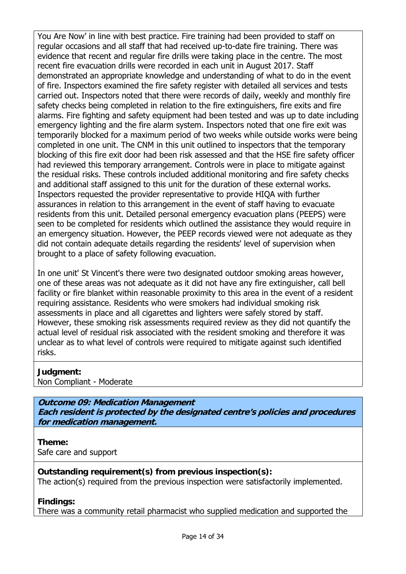You Are Now' in line with best practice. Fire training had been provided to staff on regular occasions and all staff that had received up-to-date fire training. There was evidence that recent and regular fire drills were taking place in the centre. The most recent fire evacuation drills were recorded in each unit in August 2017. Staff demonstrated an appropriate knowledge and understanding of what to do in the event of fire. Inspectors examined the fire safety register with detailed all services and tests carried out. Inspectors noted that there were records of daily, weekly and monthly fire safety checks being completed in relation to the fire extinguishers, fire exits and fire alarms. Fire fighting and safety equipment had been tested and was up to date including emergency lighting and the fire alarm system. Inspectors noted that one fire exit was temporarily blocked for a maximum period of two weeks while outside works were being completed in one unit. The CNM in this unit outlined to inspectors that the temporary blocking of this fire exit door had been risk assessed and that the HSE fire safety officer had reviewed this temporary arrangement. Controls were in place to mitigate against the residual risks. These controls included additional monitoring and fire safety checks and additional staff assigned to this unit for the duration of these external works. Inspectors requested the provider representative to provide HIQA with further assurances in relation to this arrangement in the event of staff having to evacuate residents from this unit. Detailed personal emergency evacuation plans (PEEPS) were seen to be completed for residents which outlined the assistance they would require in an emergency situation. However, the PEEP records viewed were not adequate as they did not contain adequate details regarding the residents' level of supervision when brought to a place of safety following evacuation.

In one unit' St Vincent's there were two designated outdoor smoking areas however, one of these areas was not adequate as it did not have any fire extinguisher, call bell facility or fire blanket within reasonable proximity to this area in the event of a resident requiring assistance. Residents who were smokers had individual smoking risk assessments in place and all cigarettes and lighters were safely stored by staff. However, these smoking risk assessments required review as they did not quantify the actual level of residual risk associated with the resident smoking and therefore it was unclear as to what level of controls were required to mitigate against such identified risks.

#### **Judgment:**

Non Compliant - Moderate

**Outcome 09: Medication Management Each resident is protected by the designated centre's policies and procedures for medication management.**

# **Theme:**

Safe care and support

# **Outstanding requirement(s) from previous inspection(s):**

The action(s) required from the previous inspection were satisfactorily implemented.

# **Findings:**

There was a community retail pharmacist who supplied medication and supported the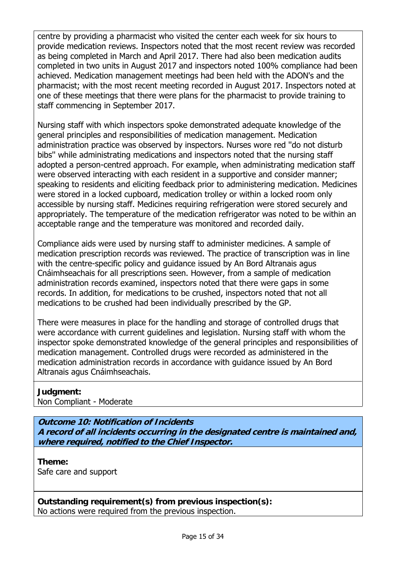centre by providing a pharmacist who visited the center each week for six hours to provide medication reviews. Inspectors noted that the most recent review was recorded as being completed in March and April 2017. There had also been medication audits completed in two units in August 2017 and inspectors noted 100% compliance had been achieved. Medication management meetings had been held with the ADON's and the pharmacist; with the most recent meeting recorded in August 2017. Inspectors noted at one of these meetings that there were plans for the pharmacist to provide training to staff commencing in September 2017.

Nursing staff with which inspectors spoke demonstrated adequate knowledge of the general principles and responsibilities of medication management. Medication administration practice was observed by inspectors. Nurses wore red ''do not disturb bibs'' while administrating medications and inspectors noted that the nursing staff adopted a person-centred approach. For example, when administrating medication staff were observed interacting with each resident in a supportive and consider manner; speaking to residents and eliciting feedback prior to administering medication. Medicines were stored in a locked cupboard, medication trolley or within a locked room only accessible by nursing staff. Medicines requiring refrigeration were stored securely and appropriately. The temperature of the medication refrigerator was noted to be within an acceptable range and the temperature was monitored and recorded daily.

Compliance aids were used by nursing staff to administer medicines. A sample of medication prescription records was reviewed. The practice of transcription was in line with the centre-specific policy and guidance issued by An Bord Altranais agus Cnáimhseachais for all prescriptions seen. However, from a sample of medication administration records examined, inspectors noted that there were gaps in some records. In addition, for medications to be crushed, inspectors noted that not all medications to be crushed had been individually prescribed by the GP.

There were measures in place for the handling and storage of controlled drugs that were accordance with current guidelines and legislation. Nursing staff with whom the inspector spoke demonstrated knowledge of the general principles and responsibilities of medication management. Controlled drugs were recorded as administered in the medication administration records in accordance with guidance issued by An Bord Altranais agus Cnáimhseachais.

# **Judgment:**

Non Compliant - Moderate

**Outcome 10: Notification of Incidents A record of all incidents occurring in the designated centre is maintained and, where required, notified to the Chief Inspector.**

**Theme:**  Safe care and support

**Outstanding requirement(s) from previous inspection(s):**  No actions were required from the previous inspection.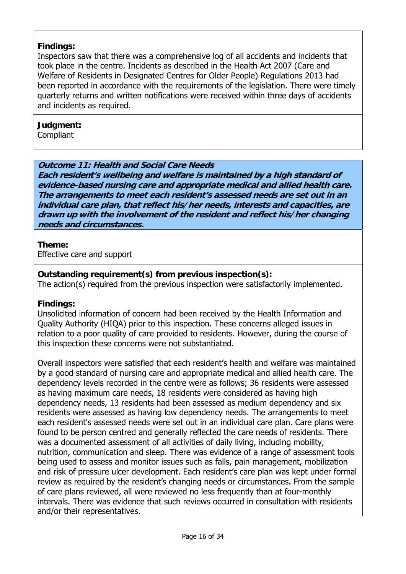# **Findings:**

Inspectors saw that there was a comprehensive log of all accidents and incidents that took place in the centre. Incidents as described in the Health Act 2007 (Care and Welfare of Residents in Designated Centres for Older People) Regulations 2013 had been reported in accordance with the requirements of the legislation. There were timely quarterly returns and written notifications were received within three days of accidents and incidents as required.

# **Judgment:**

**Compliant** 

# **Outcome 11: Health and Social Care Needs**

**Each resident's wellbeing and welfare is maintained by a high standard of evidence-based nursing care and appropriate medical and allied health care. The arrangements to meet each resident's assessed needs are set out in an individual care plan, that reflect his/her needs, interests and capacities, are drawn up with the involvement of the resident and reflect his/her changing needs and circumstances.**

# **Theme:**

Effective care and support

# **Outstanding requirement(s) from previous inspection(s):**

The action(s) required from the previous inspection were satisfactorily implemented.

# **Findings:**

Unsolicited information of concern had been received by the Health Information and Quality Authority (HIQA) prior to this inspection. These concerns alleged issues in relation to a poor quality of care provided to residents. However, during the course of this inspection these concerns were not substantiated.

Overall inspectors were satisfied that each resident's health and welfare was maintained by a good standard of nursing care and appropriate medical and allied health care. The dependency levels recorded in the centre were as follows; 36 residents were assessed as having maximum care needs, 18 residents were considered as having high dependency needs, 13 residents had been assessed as medium dependency and six residents were assessed as having low dependency needs. The arrangements to meet each resident's assessed needs were set out in an individual care plan. Care plans were found to be person centred and generally reflected the care needs of residents. There was a documented assessment of all activities of daily living, including mobility, nutrition, communication and sleep. There was evidence of a range of assessment tools being used to assess and monitor issues such as falls, pain management, mobilization and risk of pressure ulcer development. Each resident's care plan was kept under formal review as required by the resident's changing needs or circumstances. From the sample of care plans reviewed, all were reviewed no less frequently than at four-monthly intervals. There was evidence that such reviews occurred in consultation with residents and/or their representatives.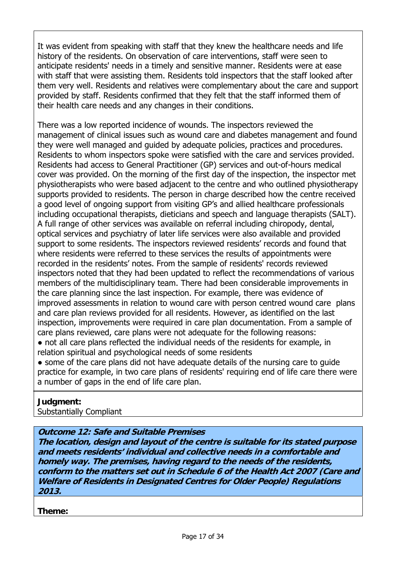It was evident from speaking with staff that they knew the healthcare needs and life history of the residents. On observation of care interventions, staff were seen to anticipate residents' needs in a timely and sensitive manner. Residents were at ease with staff that were assisting them. Residents told inspectors that the staff looked after them very well. Residents and relatives were complementary about the care and support provided by staff. Residents confirmed that they felt that the staff informed them of their health care needs and any changes in their conditions.

There was a low reported incidence of wounds. The inspectors reviewed the management of clinical issues such as wound care and diabetes management and found they were well managed and guided by adequate policies, practices and procedures. Residents to whom inspectors spoke were satisfied with the care and services provided. Residents had access to General Practitioner (GP) services and out-of-hours medical cover was provided. On the morning of the first day of the inspection, the inspector met physiotherapists who were based adjacent to the centre and who outlined physiotherapy supports provided to residents. The person in charge described how the centre received a good level of ongoing support from visiting GP's and allied healthcare professionals including occupational therapists, dieticians and speech and language therapists (SALT). A full range of other services was available on referral including chiropody, dental, optical services and psychiatry of later life services were also available and provided support to some residents. The inspectors reviewed residents' records and found that where residents were referred to these services the results of appointments were recorded in the residents' notes. From the sample of residents' records reviewed inspectors noted that they had been updated to reflect the recommendations of various members of the multidisciplinary team. There had been considerable improvements in the care planning since the last inspection. For example, there was evidence of improved assessments in relation to wound care with person centred wound care plans and care plan reviews provided for all residents. However, as identified on the last inspection, improvements were required in care plan documentation. From a sample of care plans reviewed, care plans were not adequate for the following reasons: • not all care plans reflected the individual needs of the residents for example, in

relation spiritual and psychological needs of some residents

• some of the care plans did not have adequate details of the nursing care to quide practice for example, in two care plans of residents' requiring end of life care there were a number of gaps in the end of life care plan.

# **Judgment:**

Substantially Compliant

**Outcome 12: Safe and Suitable Premises**

**The location, design and layout of the centre is suitable for its stated purpose and meets residents' individual and collective needs in a comfortable and homely way. The premises, having regard to the needs of the residents, conform to the matters set out in Schedule 6 of the Health Act 2007 (Care and Welfare of Residents in Designated Centres for Older People) Regulations 2013.**

**Theme:**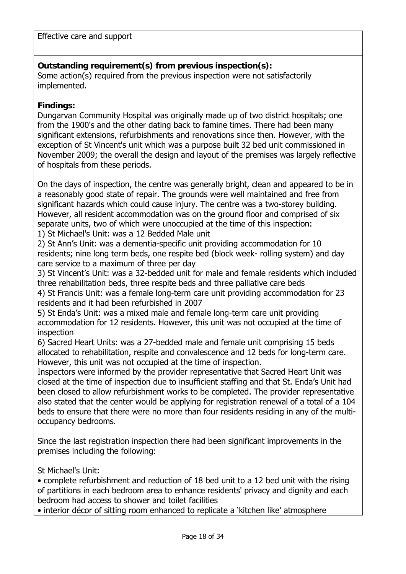Effective care and support

# **Outstanding requirement(s) from previous inspection(s):**

Some action(s) required from the previous inspection were not satisfactorily implemented.

# **Findings:**

Dungarvan Community Hospital was originally made up of two district hospitals; one from the 1900's and the other dating back to famine times. There had been many significant extensions, refurbishments and renovations since then. However, with the exception of St Vincent's unit which was a purpose built 32 bed unit commissioned in November 2009; the overall the design and layout of the premises was largely reflective of hospitals from these periods.

On the days of inspection, the centre was generally bright, clean and appeared to be in a reasonably good state of repair. The grounds were well maintained and free from significant hazards which could cause injury. The centre was a two-storey building. However, all resident accommodation was on the ground floor and comprised of six separate units, two of which were unoccupied at the time of this inspection:

1) St Michael's Unit: was a 12 Bedded Male unit

2) St Ann's Unit: was a dementia-specific unit providing accommodation for 10 residents; nine long term beds, one respite bed (block week- rolling system) and day care service to a maximum of three per day

3) St Vincent's Unit: was a 32-bedded unit for male and female residents which included three rehabilitation beds, three respite beds and three palliative care beds

4) St Francis Unit: was a female long-term care unit providing accommodation for 23 residents and it had been refurbished in 2007

5) St Enda's Unit: was a mixed male and female long-term care unit providing accommodation for 12 residents. However, this unit was not occupied at the time of inspection

6) Sacred Heart Units: was a 27-bedded male and female unit comprising 15 beds allocated to rehabilitation, respite and convalescence and 12 beds for long-term care. However, this unit was not occupied at the time of inspection.

Inspectors were informed by the provider representative that Sacred Heart Unit was closed at the time of inspection due to insufficient staffing and that St. Enda's Unit had been closed to allow refurbishment works to be completed. The provider representative also stated that the center would be applying for registration renewal of a total of a 104 beds to ensure that there were no more than four residents residing in any of the multioccupancy bedrooms.

Since the last registration inspection there had been significant improvements in the premises including the following:

St Michael's Unit:

• complete refurbishment and reduction of 18 bed unit to a 12 bed unit with the rising of partitions in each bedroom area to enhance residents' privacy and dignity and each bedroom had access to shower and toilet facilities

• interior décor of sitting room enhanced to replicate a 'kitchen like' atmosphere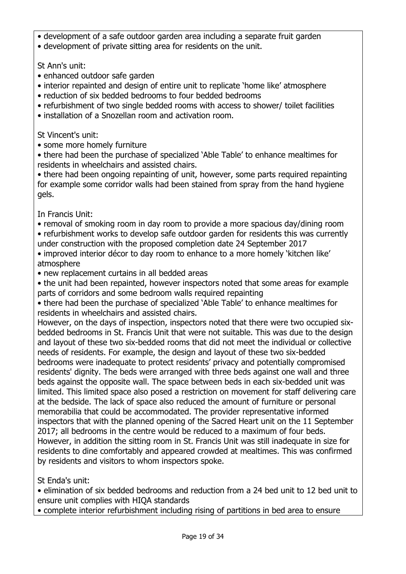- development of a safe outdoor garden area including a separate fruit garden
- development of private sitting area for residents on the unit.

St Ann's unit:

- enhanced outdoor safe garden
- interior repainted and design of entire unit to replicate 'home like' atmosphere
- reduction of six bedded bedrooms to four bedded bedrooms
- refurbishment of two single bedded rooms with access to shower/ toilet facilities
- installation of a Snozellan room and activation room.

St Vincent's unit:

• some more homely furniture

• there had been the purchase of specialized 'Able Table' to enhance mealtimes for residents in wheelchairs and assisted chairs.

• there had been ongoing repainting of unit, however, some parts required repainting for example some corridor walls had been stained from spray from the hand hygiene gels.

In Francis Unit:

- removal of smoking room in day room to provide a more spacious day/dining room
- refurbishment works to develop safe outdoor garden for residents this was currently under construction with the proposed completion date 24 September 2017
- improved interior décor to day room to enhance to a more homely 'kitchen like' atmosphere
- new replacement curtains in all bedded areas
- the unit had been repainted, however inspectors noted that some areas for example parts of corridors and some bedroom walls required repainting
- there had been the purchase of specialized 'Able Table' to enhance mealtimes for residents in wheelchairs and assisted chairs.

However, on the days of inspection, inspectors noted that there were two occupied sixbedded bedrooms in St. Francis Unit that were not suitable. This was due to the design and layout of these two six-bedded rooms that did not meet the individual or collective needs of residents. For example, the design and layout of these two six-bedded bedrooms were inadequate to protect residents' privacy and potentially compromised residents' dignity. The beds were arranged with three beds against one wall and three beds against the opposite wall. The space between beds in each six-bedded unit was limited. This limited space also posed a restriction on movement for staff delivering care at the bedside. The lack of space also reduced the amount of furniture or personal memorabilia that could be accommodated. The provider representative informed inspectors that with the planned opening of the Sacred Heart unit on the 11 September 2017; all bedrooms in the centre would be reduced to a maximum of four beds. However, in addition the sitting room in St. Francis Unit was still inadequate in size for residents to dine comfortably and appeared crowded at mealtimes. This was confirmed by residents and visitors to whom inspectors spoke.

St Enda's unit:

• elimination of six bedded bedrooms and reduction from a 24 bed unit to 12 bed unit to ensure unit complies with HIQA standards

• complete interior refurbishment including rising of partitions in bed area to ensure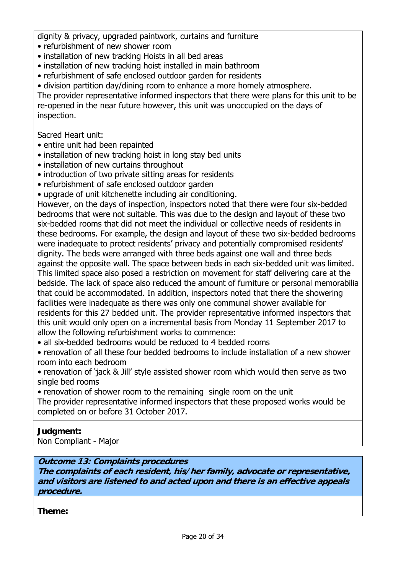dignity & privacy, upgraded paintwork, curtains and furniture

- refurbishment of new shower room
- installation of new tracking Hoists in all bed areas
- installation of new tracking hoist installed in main bathroom
- refurbishment of safe enclosed outdoor garden for residents

• division partition day/dining room to enhance a more homely atmosphere.

The provider representative informed inspectors that there were plans for this unit to be re-opened in the near future however, this unit was unoccupied on the days of inspection.

Sacred Heart unit:

- entire unit had been repainted
- installation of new tracking hoist in long stay bed units
- installation of new curtains throughout
- introduction of two private sitting areas for residents
- refurbishment of safe enclosed outdoor garden
- upgrade of unit kitchenette including air conditioning.

However, on the days of inspection, inspectors noted that there were four six-bedded bedrooms that were not suitable. This was due to the design and layout of these two six-bedded rooms that did not meet the individual or collective needs of residents in these bedrooms. For example, the design and layout of these two six-bedded bedrooms were inadequate to protect residents' privacy and potentially compromised residents' dignity. The beds were arranged with three beds against one wall and three beds against the opposite wall. The space between beds in each six-bedded unit was limited. This limited space also posed a restriction on movement for staff delivering care at the bedside. The lack of space also reduced the amount of furniture or personal memorabilia that could be accommodated. In addition, inspectors noted that there the showering facilities were inadequate as there was only one communal shower available for residents for this 27 bedded unit. The provider representative informed inspectors that this unit would only open on a incremental basis from Monday 11 September 2017 to allow the following refurbishment works to commence:

• all six-bedded bedrooms would be reduced to 4 bedded rooms

• renovation of all these four bedded bedrooms to include installation of a new shower room into each bedroom

• renovation of 'jack & Jill' style assisted shower room which would then serve as two single bed rooms

• renovation of shower room to the remaining single room on the unit

The provider representative informed inspectors that these proposed works would be completed on or before 31 October 2017.

# **Judgment:**

Non Compliant - Major

# **Outcome 13: Complaints procedures**

**The complaints of each resident, his/her family, advocate or representative, and visitors are listened to and acted upon and there is an effective appeals procedure.**

**Theme:**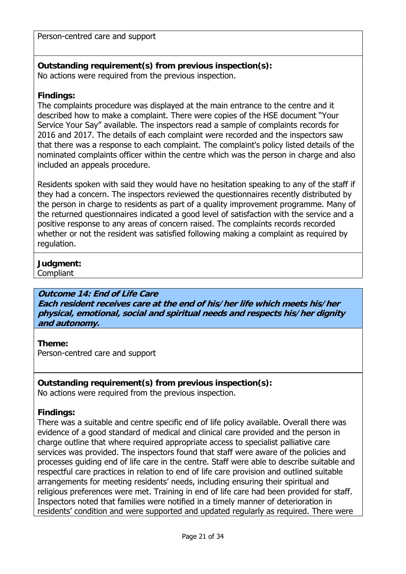Person-centred care and support

#### **Outstanding requirement(s) from previous inspection(s):**  No actions were required from the previous inspection.

# **Findings:**

The complaints procedure was displayed at the main entrance to the centre and it described how to make a complaint. There were copies of the HSE document "Your Service Your Say" available. The inspectors read a sample of complaints records for 2016 and 2017. The details of each complaint were recorded and the inspectors saw that there was a response to each complaint. The complaint's policy listed details of the nominated complaints officer within the centre which was the person in charge and also included an appeals procedure.

Residents spoken with said they would have no hesitation speaking to any of the staff if they had a concern. The inspectors reviewed the questionnaires recently distributed by the person in charge to residents as part of a quality improvement programme. Many of the returned questionnaires indicated a good level of satisfaction with the service and a positive response to any areas of concern raised. The complaints records recorded whether or not the resident was satisfied following making a complaint as required by regulation.

# **Judgment:**

**Compliant** 

# **Outcome 14: End of Life Care**

**Each resident receives care at the end of his/her life which meets his/her physical, emotional, social and spiritual needs and respects his/her dignity and autonomy.**

# **Theme:**

Person-centred care and support

**Outstanding requirement(s) from previous inspection(s):**  No actions were required from the previous inspection.

# **Findings:**

There was a suitable and centre specific end of life policy available. Overall there was evidence of a good standard of medical and clinical care provided and the person in charge outline that where required appropriate access to specialist palliative care services was provided. The inspectors found that staff were aware of the policies and processes guiding end of life care in the centre. Staff were able to describe suitable and respectful care practices in relation to end of life care provision and outlined suitable arrangements for meeting residents' needs, including ensuring their spiritual and religious preferences were met. Training in end of life care had been provided for staff. Inspectors noted that families were notified in a timely manner of deterioration in residents' condition and were supported and updated regularly as required. There were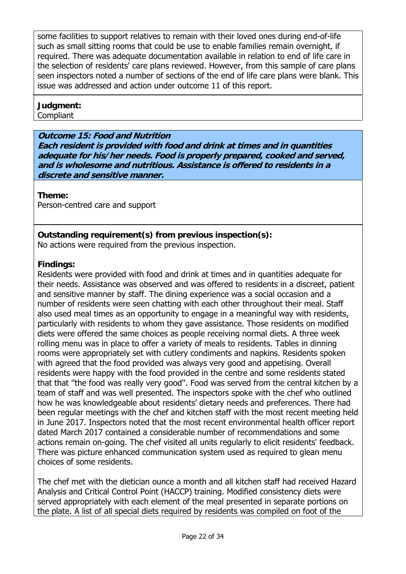some facilities to support relatives to remain with their loved ones during end-of-life such as small sitting rooms that could be use to enable families remain overnight, if required. There was adequate documentation available in relation to end of life care in the selection of residents' care plans reviewed. However, from this sample of care plans seen inspectors noted a number of sections of the end of life care plans were blank. This issue was addressed and action under outcome 11 of this report.

#### **Judgment:**

Compliant

# **Outcome 15: Food and Nutrition**

**Each resident is provided with food and drink at times and in quantities adequate for his/her needs. Food is properly prepared, cooked and served, and is wholesome and nutritious. Assistance is offered to residents in a discrete and sensitive manner.**

# **Theme:**

Person-centred care and support

# **Outstanding requirement(s) from previous inspection(s):**

No actions were required from the previous inspection.

# **Findings:**

Residents were provided with food and drink at times and in quantities adequate for their needs. Assistance was observed and was offered to residents in a discreet, patient and sensitive manner by staff. The dining experience was a social occasion and a number of residents were seen chatting with each other throughout their meal. Staff also used meal times as an opportunity to engage in a meaningful way with residents, particularly with residents to whom they gave assistance. Those residents on modified diets were offered the same choices as people receiving normal diets. A three week rolling menu was in place to offer a variety of meals to residents. Tables in dinning rooms were appropriately set with cutlery condiments and napkins. Residents spoken with agreed that the food provided was always very good and appetising. Overall residents were happy with the food provided in the centre and some residents stated that that ''the food was really very good''. Food was served from the central kitchen by a team of staff and was well presented. The inspectors spoke with the chef who outlined how he was knowledgeable about residents' dietary needs and preferences. There had been regular meetings with the chef and kitchen staff with the most recent meeting held in June 2017. Inspectors noted that the most recent environmental health officer report dated March 2017 contained a considerable number of recommendations and some actions remain on-going. The chef visited all units regularly to elicit residents' feedback. There was picture enhanced communication system used as required to glean menu choices of some residents.

The chef met with the dietician ounce a month and all kitchen staff had received Hazard Analysis and Critical Control Point (HACCP) training. Modified consistency diets were served appropriately with each element of the meal presented in separate portions on the plate. A list of all special diets required by residents was compiled on foot of the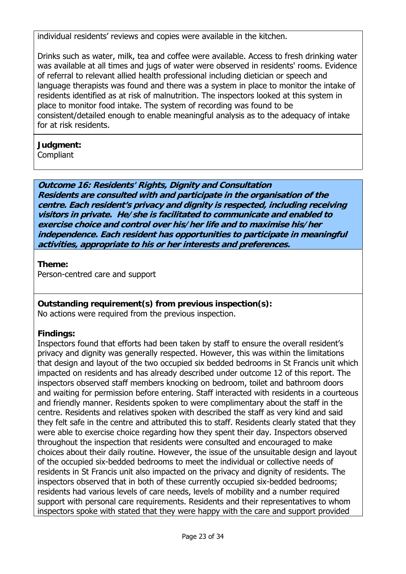individual residents' reviews and copies were available in the kitchen.

Drinks such as water, milk, tea and coffee were available. Access to fresh drinking water was available at all times and jugs of water were observed in residents' rooms. Evidence of referral to relevant allied health professional including dietician or speech and language therapists was found and there was a system in place to monitor the intake of residents identified as at risk of malnutrition. The inspectors looked at this system in place to monitor food intake. The system of recording was found to be consistent/detailed enough to enable meaningful analysis as to the adequacy of intake for at risk residents.

# **Judgment:**

**Compliant** 

# **Outcome 16: Residents' Rights, Dignity and Consultation**

**Residents are consulted with and participate in the organisation of the centre. Each resident's privacy and dignity is respected, including receiving visitors in private. He/she is facilitated to communicate and enabled to exercise choice and control over his/her life and to maximise his/her independence. Each resident has opportunities to participate in meaningful activities, appropriate to his or her interests and preferences.**

# **Theme:**

Person-centred care and support

# **Outstanding requirement(s) from previous inspection(s):**

No actions were required from the previous inspection.

# **Findings:**

Inspectors found that efforts had been taken by staff to ensure the overall resident's privacy and dignity was generally respected. However, this was within the limitations that design and layout of the two occupied six bedded bedrooms in St Francis unit which impacted on residents and has already described under outcome 12 of this report. The inspectors observed staff members knocking on bedroom, toilet and bathroom doors and waiting for permission before entering. Staff interacted with residents in a courteous and friendly manner. Residents spoken to were complimentary about the staff in the centre. Residents and relatives spoken with described the staff as very kind and said they felt safe in the centre and attributed this to staff. Residents clearly stated that they were able to exercise choice regarding how they spent their day. Inspectors observed throughout the inspection that residents were consulted and encouraged to make choices about their daily routine. However, the issue of the unsuitable design and layout of the occupied six-bedded bedrooms to meet the individual or collective needs of residents in St Francis unit also impacted on the privacy and dignity of residents. The inspectors observed that in both of these currently occupied six-bedded bedrooms; residents had various levels of care needs, levels of mobility and a number required support with personal care requirements. Residents and their representatives to whom inspectors spoke with stated that they were happy with the care and support provided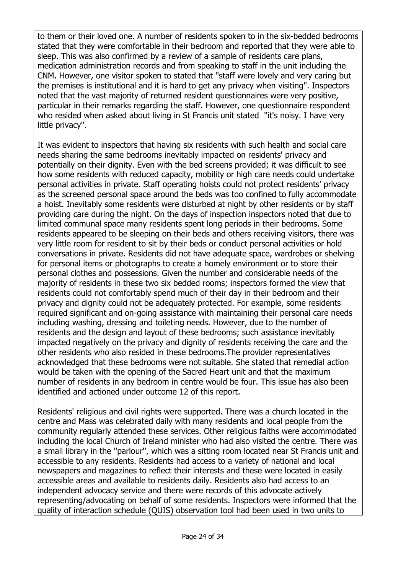to them or their loved one. A number of residents spoken to in the six-bedded bedrooms stated that they were comfortable in their bedroom and reported that they were able to sleep. This was also confirmed by a review of a sample of residents care plans, medication administration records and from speaking to staff in the unit including the CNM. However, one visitor spoken to stated that ''staff were lovely and very caring but the premises is institutional and it is hard to get any privacy when visiting''. Inspectors noted that the vast majority of returned resident questionnaires were very positive, particular in their remarks regarding the staff. However, one questionnaire respondent who resided when asked about living in St Francis unit stated ''it's noisy. I have very little privacy''.

It was evident to inspectors that having six residents with such health and social care needs sharing the same bedrooms inevitably impacted on residents' privacy and potentially on their dignity. Even with the bed screens provided; it was difficult to see how some residents with reduced capacity, mobility or high care needs could undertake personal activities in private. Staff operating hoists could not protect residents' privacy as the screened personal space around the beds was too confined to fully accommodate a hoist. Inevitably some residents were disturbed at night by other residents or by staff providing care during the night. On the days of inspection inspectors noted that due to limited communal space many residents spent long periods in their bedrooms. Some residents appeared to be sleeping on their beds and others receiving visitors, there was very little room for resident to sit by their beds or conduct personal activities or hold conversations in private. Residents did not have adequate space, wardrobes or shelving for personal items or photographs to create a homely environment or to store their personal clothes and possessions. Given the number and considerable needs of the majority of residents in these two six bedded rooms; inspectors formed the view that residents could not comfortably spend much of their day in their bedroom and their privacy and dignity could not be adequately protected. For example, some residents required significant and on-going assistance with maintaining their personal care needs including washing, dressing and toileting needs. However, due to the number of residents and the design and layout of these bedrooms; such assistance inevitably impacted negatively on the privacy and dignity of residents receiving the care and the other residents who also resided in these bedrooms.The provider representatives acknowledged that these bedrooms were not suitable. She stated that remedial action would be taken with the opening of the Sacred Heart unit and that the maximum number of residents in any bedroom in centre would be four. This issue has also been identified and actioned under outcome 12 of this report.

Residents' religious and civil rights were supported. There was a church located in the centre and Mass was celebrated daily with many residents and local people from the community regularly attended these services. Other religious faiths were accommodated including the local Church of Ireland minister who had also visited the centre. There was a small library in the ''parlour'', which was a sitting room located near St Francis unit and accessible to any residents. Residents had access to a variety of national and local newspapers and magazines to reflect their interests and these were located in easily accessible areas and available to residents daily. Residents also had access to an independent advocacy service and there were records of this advocate actively representing/advocating on behalf of some residents. Inspectors were informed that the quality of interaction schedule (QUIS) observation tool had been used in two units to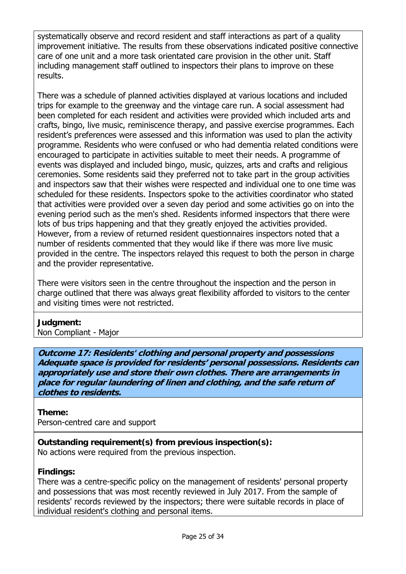systematically observe and record resident and staff interactions as part of a quality improvement initiative. The results from these observations indicated positive connective care of one unit and a more task orientated care provision in the other unit. Staff including management staff outlined to inspectors their plans to improve on these results.

There was a schedule of planned activities displayed at various locations and included trips for example to the greenway and the vintage care run. A social assessment had been completed for each resident and activities were provided which included arts and crafts, bingo, live music, reminiscence therapy, and passive exercise programmes. Each resident's preferences were assessed and this information was used to plan the activity programme. Residents who were confused or who had dementia related conditions were encouraged to participate in activities suitable to meet their needs. A programme of events was displayed and included bingo, music, quizzes, arts and crafts and religious ceremonies. Some residents said they preferred not to take part in the group activities and inspectors saw that their wishes were respected and individual one to one time was scheduled for these residents. Inspectors spoke to the activities coordinator who stated that activities were provided over a seven day period and some activities go on into the evening period such as the men's shed. Residents informed inspectors that there were lots of bus trips happening and that they greatly enjoyed the activities provided. However, from a review of returned resident questionnaires inspectors noted that a number of residents commented that they would like if there was more live music provided in the centre. The inspectors relayed this request to both the person in charge and the provider representative.

There were visitors seen in the centre throughout the inspection and the person in charge outlined that there was always great flexibility afforded to visitors to the center and visiting times were not restricted.

#### **Judgment:**  Non Compliant - Major

**Outcome 17: Residents' clothing and personal property and possessions Adequate space is provided for residents' personal possessions. Residents can appropriately use and store their own clothes. There are arrangements in place for regular laundering of linen and clothing, and the safe return of clothes to residents.**

# **Theme:**

Person-centred care and support

**Outstanding requirement(s) from previous inspection(s):**  No actions were required from the previous inspection.

# **Findings:**

There was a centre-specific policy on the management of residents' personal property and possessions that was most recently reviewed in July 2017. From the sample of residents' records reviewed by the inspectors; there were suitable records in place of individual resident's clothing and personal items.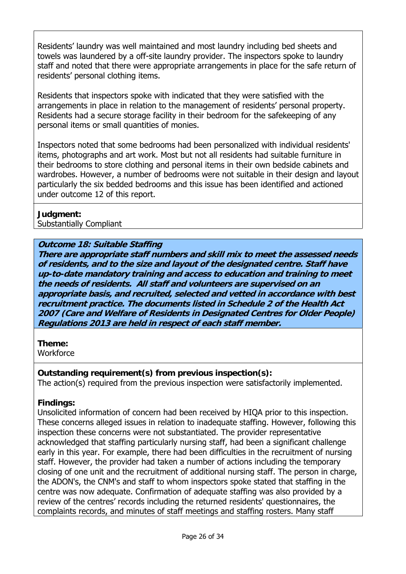Residents' laundry was well maintained and most laundry including bed sheets and towels was laundered by a off-site laundry provider. The inspectors spoke to laundry staff and noted that there were appropriate arrangements in place for the safe return of residents' personal clothing items.

Residents that inspectors spoke with indicated that they were satisfied with the arrangements in place in relation to the management of residents' personal property. Residents had a secure storage facility in their bedroom for the safekeeping of any personal items or small quantities of monies.

Inspectors noted that some bedrooms had been personalized with individual residents' items, photographs and art work. Most but not all residents had suitable furniture in their bedrooms to store clothing and personal items in their own bedside cabinets and wardrobes. However, a number of bedrooms were not suitable in their design and layout particularly the six bedded bedrooms and this issue has been identified and actioned under outcome 12 of this report.

# **Judgment:**

Substantially Compliant

# **Outcome 18: Suitable Staffing**

**There are appropriate staff numbers and skill mix to meet the assessed needs of residents, and to the size and layout of the designated centre. Staff have up-to-date mandatory training and access to education and training to meet the needs of residents. All staff and volunteers are supervised on an appropriate basis, and recruited, selected and vetted in accordance with best recruitment practice. The documents listed in Schedule 2 of the Health Act 2007 (Care and Welfare of Residents in Designated Centres for Older People) Regulations 2013 are held in respect of each staff member.**

**Theme:** 

**Workforce** 

# **Outstanding requirement(s) from previous inspection(s):**

The action(s) required from the previous inspection were satisfactorily implemented.

# **Findings:**

Unsolicited information of concern had been received by HIQA prior to this inspection. These concerns alleged issues in relation to inadequate staffing. However, following this inspection these concerns were not substantiated. The provider representative acknowledged that staffing particularly nursing staff, had been a significant challenge early in this year. For example, there had been difficulties in the recruitment of nursing staff. However, the provider had taken a number of actions including the temporary closing of one unit and the recruitment of additional nursing staff. The person in charge, the ADON's, the CNM's and staff to whom inspectors spoke stated that staffing in the centre was now adequate. Confirmation of adequate staffing was also provided by a review of the centres' records including the returned residents' questionnaires, the complaints records, and minutes of staff meetings and staffing rosters. Many staff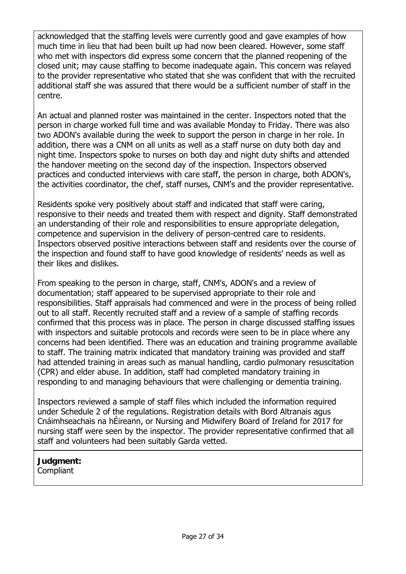acknowledged that the staffing levels were currently good and gave examples of how much time in lieu that had been built up had now been cleared. However, some staff who met with inspectors did express some concern that the planned reopening of the closed unit; may cause staffing to become inadequate again. This concern was relayed to the provider representative who stated that she was confident that with the recruited additional staff she was assured that there would be a sufficient number of staff in the centre.

An actual and planned roster was maintained in the center. Inspectors noted that the person in charge worked full time and was available Monday to Friday. There was also two ADON's available during the week to support the person in charge in her role. In addition, there was a CNM on all units as well as a staff nurse on duty both day and night time. Inspectors spoke to nurses on both day and night duty shifts and attended the handover meeting on the second day of the inspection. Inspectors observed practices and conducted interviews with care staff, the person in charge, both ADON's, the activities coordinator, the chef, staff nurses, CNM's and the provider representative.

Residents spoke very positively about staff and indicated that staff were caring, responsive to their needs and treated them with respect and dignity. Staff demonstrated an understanding of their role and responsibilities to ensure appropriate delegation, competence and supervision in the delivery of person-centred care to residents. Inspectors observed positive interactions between staff and residents over the course of the inspection and found staff to have good knowledge of residents' needs as well as their likes and dislikes.

From speaking to the person in charge, staff, CNM's, ADON's and a review of documentation; staff appeared to be supervised appropriate to their role and responsibilities. Staff appraisals had commenced and were in the process of being rolled out to all staff. Recently recruited staff and a review of a sample of staffing records confirmed that this process was in place. The person in charge discussed staffing issues with inspectors and suitable protocols and records were seen to be in place where any concerns had been identified. There was an education and training programme available to staff. The training matrix indicated that mandatory training was provided and staff had attended training in areas such as manual handling, cardio pulmonary resuscitation (CPR) and elder abuse. In addition, staff had completed mandatory training in responding to and managing behaviours that were challenging or dementia training.

Inspectors reviewed a sample of staff files which included the information required under Schedule 2 of the regulations. Registration details with Bord Altranais agus Cnáimhseachais na hÉireann, or Nursing and Midwifery Board of Ireland for 2017 for nursing staff were seen by the inspector. The provider representative confirmed that all staff and volunteers had been suitably Garda vetted.

# **Judgment:**

**Compliant**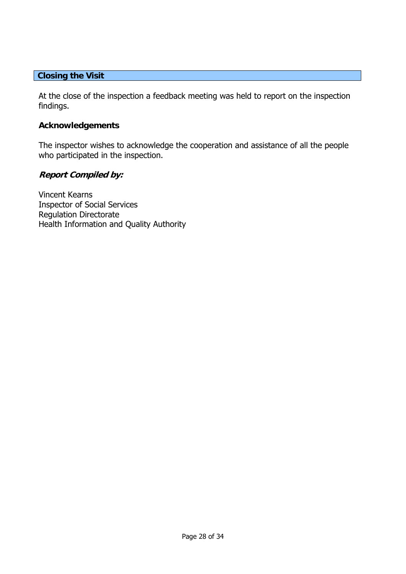#### **Closing the Visit**

At the close of the inspection a feedback meeting was held to report on the inspection findings.

#### **Acknowledgements**

The inspector wishes to acknowledge the cooperation and assistance of all the people who participated in the inspection.

#### **Report Compiled by:**

Vincent Kearns Inspector of Social Services Regulation Directorate Health Information and Quality Authority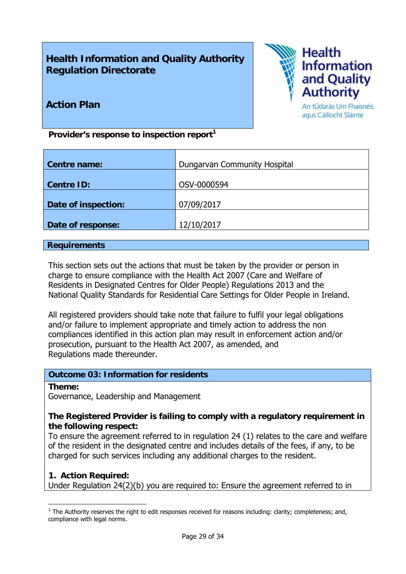# **Health Information and Quality Authority Regulation Directorate**



# **Action Plan**

An tÚdarás Um Fhaisnéis agus Cáilíocht Sláinte

Provider's response to inspection report<sup>1</sup>

| <b>Centre name:</b> | Dungarvan Community Hospital |
|---------------------|------------------------------|
| <b>Centre ID:</b>   | OSV-0000594                  |
| Date of inspection: | 07/09/2017                   |
| Date of response:   | 12/10/2017                   |

#### **Requirements**

This section sets out the actions that must be taken by the provider or person in charge to ensure compliance with the Health Act 2007 (Care and Welfare of Residents in Designated Centres for Older People) Regulations 2013 and the National Quality Standards for Residential Care Settings for Older People in Ireland.

All registered providers should take note that failure to fulfil your legal obligations and/or failure to implement appropriate and timely action to address the non compliances identified in this action plan may result in enforcement action and/or prosecution, pursuant to the Health Act 2007, as amended, and Regulations made thereunder.

# **Outcome 03: Information for residents**

#### **Theme:**

1

Governance, Leadership and Management

# **The Registered Provider is failing to comply with a regulatory requirement in the following respect:**

To ensure the agreement referred to in regulation 24 (1) relates to the care and welfare of the resident in the designated centre and includes details of the fees, if any, to be charged for such services including any additional charges to the resident.

# **1. Action Required:**

Under Regulation 24(2)(b) you are required to: Ensure the agreement referred to in

 $<sup>1</sup>$  The Authority reserves the right to edit responses received for reasons including: clarity; completeness; and,</sup> compliance with legal norms.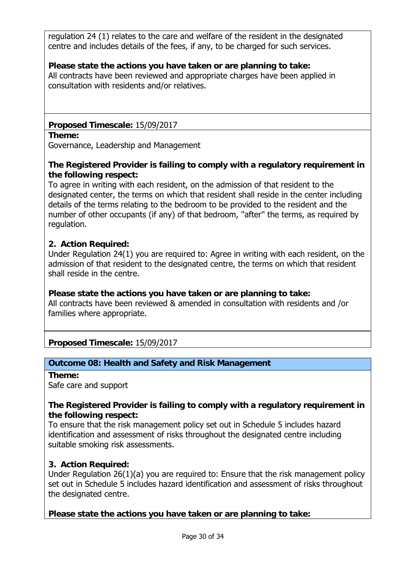regulation 24 (1) relates to the care and welfare of the resident in the designated centre and includes details of the fees, if any, to be charged for such services.

# **Please state the actions you have taken or are planning to take:**

All contracts have been reviewed and appropriate charges have been applied in consultation with residents and/or relatives.

# **Proposed Timescale:** 15/09/2017

#### **Theme:**

Governance, Leadership and Management

# **The Registered Provider is failing to comply with a regulatory requirement in the following respect:**

To agree in writing with each resident, on the admission of that resident to the designated center, the terms on which that resident shall reside in the center including details of the terms relating to the bedroom to be provided to the resident and the number of other occupants (if any) of that bedroom, ''after'' the terms, as required by regulation.

# **2. Action Required:**

Under Regulation 24(1) you are required to: Agree in writing with each resident, on the admission of that resident to the designated centre, the terms on which that resident shall reside in the centre.

# **Please state the actions you have taken or are planning to take:**

All contracts have been reviewed & amended in consultation with residents and /or families where appropriate.

# **Proposed Timescale:** 15/09/2017

# **Outcome 08: Health and Safety and Risk Management**

**Theme:**  Safe care and support

# **The Registered Provider is failing to comply with a regulatory requirement in the following respect:**

To ensure that the risk management policy set out in Schedule 5 includes hazard identification and assessment of risks throughout the designated centre including suitable smoking risk assessments.

# **3. Action Required:**

Under Regulation 26(1)(a) you are required to: Ensure that the risk management policy set out in Schedule 5 includes hazard identification and assessment of risks throughout the designated centre.

# **Please state the actions you have taken or are planning to take:**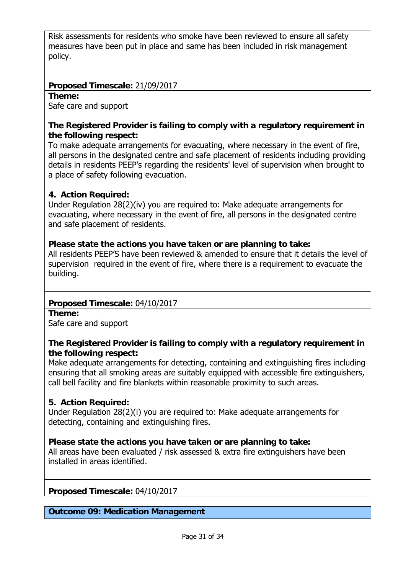Risk assessments for residents who smoke have been reviewed to ensure all safety measures have been put in place and same has been included in risk management policy.

# **Proposed Timescale:** 21/09/2017

#### **Theme:**

Safe care and support

# **The Registered Provider is failing to comply with a regulatory requirement in the following respect:**

To make adequate arrangements for evacuating, where necessary in the event of fire, all persons in the designated centre and safe placement of residents including providing details in residents PEEP's regarding the residents' level of supervision when brought to a place of safety following evacuation.

# **4. Action Required:**

Under Regulation 28(2)(iv) you are required to: Make adequate arrangements for evacuating, where necessary in the event of fire, all persons in the designated centre and safe placement of residents.

# **Please state the actions you have taken or are planning to take:**

All residents PEEP'S have been reviewed & amended to ensure that it details the level of supervision required in the event of fire, where there is a requirement to evacuate the building.

# **Proposed Timescale:** 04/10/2017

**Theme:** 

Safe care and support

# **The Registered Provider is failing to comply with a regulatory requirement in the following respect:**

Make adequate arrangements for detecting, containing and extinguishing fires including ensuring that all smoking areas are suitably equipped with accessible fire extinguishers, call bell facility and fire blankets within reasonable proximity to such areas.

# **5. Action Required:**

Under Regulation 28(2)(i) you are required to: Make adequate arrangements for detecting, containing and extinguishing fires.

# **Please state the actions you have taken or are planning to take:**

All areas have been evaluated / risk assessed & extra fire extinguishers have been installed in areas identified.

**Proposed Timescale:** 04/10/2017

**Outcome 09: Medication Management**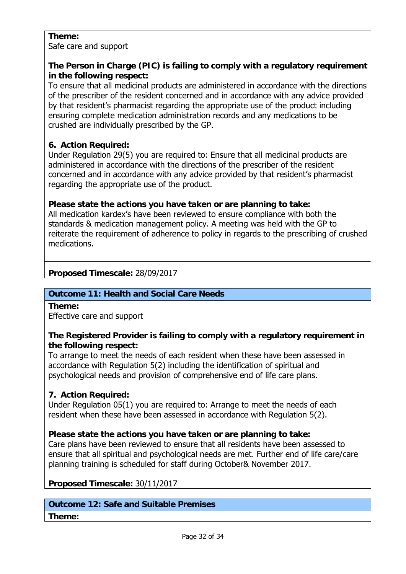# **Theme:**

Safe care and support

# **The Person in Charge (PIC) is failing to comply with a regulatory requirement in the following respect:**

To ensure that all medicinal products are administered in accordance with the directions of the prescriber of the resident concerned and in accordance with any advice provided by that resident's pharmacist regarding the appropriate use of the product including ensuring complete medication administration records and any medications to be crushed are individually prescribed by the GP.

# **6. Action Required:**

Under Regulation 29(5) you are required to: Ensure that all medicinal products are administered in accordance with the directions of the prescriber of the resident concerned and in accordance with any advice provided by that resident's pharmacist regarding the appropriate use of the product.

# **Please state the actions you have taken or are planning to take:**

All medication kardex's have been reviewed to ensure compliance with both the standards & medication management policy. A meeting was held with the GP to reiterate the requirement of adherence to policy in regards to the prescribing of crushed medications.

# **Proposed Timescale:** 28/09/2017

# **Outcome 11: Health and Social Care Needs**

**Theme:** 

Effective care and support

# **The Registered Provider is failing to comply with a regulatory requirement in the following respect:**

To arrange to meet the needs of each resident when these have been assessed in accordance with Regulation 5(2) including the identification of spiritual and psychological needs and provision of comprehensive end of life care plans.

# **7. Action Required:**

Under Regulation 05(1) you are required to: Arrange to meet the needs of each resident when these have been assessed in accordance with Regulation 5(2).

# **Please state the actions you have taken or are planning to take:**

Care plans have been reviewed to ensure that all residents have been assessed to ensure that all spiritual and psychological needs are met. Further end of life care/care planning training is scheduled for staff during October& November 2017.

**Proposed Timescale:** 30/11/2017

# **Outcome 12: Safe and Suitable Premises**

# **Theme:**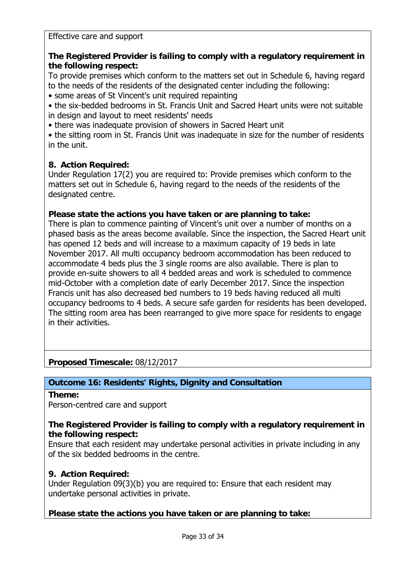Effective care and support

# **The Registered Provider is failing to comply with a regulatory requirement in the following respect:**

To provide premises which conform to the matters set out in Schedule 6, having regard to the needs of the residents of the designated center including the following:

• some areas of St Vincent's unit required repainting

• the six-bedded bedrooms in St. Francis Unit and Sacred Heart units were not suitable in design and layout to meet residents' needs

• there was inadequate provision of showers in Sacred Heart unit

• the sitting room in St. Francis Unit was inadequate in size for the number of residents in the unit.

# **8. Action Required:**

Under Regulation 17(2) you are required to: Provide premises which conform to the matters set out in Schedule 6, having regard to the needs of the residents of the designated centre.

# **Please state the actions you have taken or are planning to take:**

There is plan to commence painting of Vincent's unit over a number of months on a phased basis as the areas become available. Since the inspection, the Sacred Heart unit has opened 12 beds and will increase to a maximum capacity of 19 beds in late November 2017. All multi occupancy bedroom accommodation has been reduced to accommodate 4 beds plus the 3 single rooms are also available. There is plan to provide en-suite showers to all 4 bedded areas and work is scheduled to commence mid-October with a completion date of early December 2017. Since the inspection Francis unit has also decreased bed numbers to 19 beds having reduced all multi occupancy bedrooms to 4 beds. A secure safe garden for residents has been developed. The sitting room area has been rearranged to give more space for residents to engage in their activities.

**Proposed Timescale:** 08/12/2017

# **Outcome 16: Residents' Rights, Dignity and Consultation**

**Theme:** 

Person-centred care and support

# **The Registered Provider is failing to comply with a regulatory requirement in the following respect:**

Ensure that each resident may undertake personal activities in private including in any of the six bedded bedrooms in the centre.

# **9. Action Required:**

Under Regulation 09(3)(b) you are required to: Ensure that each resident may undertake personal activities in private.

# **Please state the actions you have taken or are planning to take:**